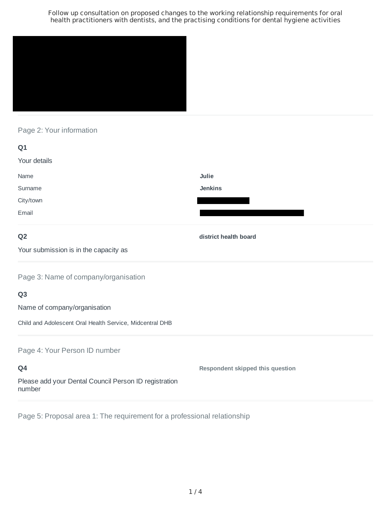

## Page 2: Your information

| Q1           |                |
|--------------|----------------|
| Your details |                |
| Name         | Julie          |
| Surname      | <b>Jenkins</b> |
| City/town    |                |
| Email        |                |
|              |                |

## **Q2**

**district health board**

Your submission is in the capacity as

Page 3: Name of company/organisation

### **Q3**

Name of company/organisation

Child and Adolescent Oral Health Service, Midcentral DHB

### Page 4: Your Person ID number

**Q4** Please add your Dental Council Person ID registration number **Respondent skipped this question**

Page 5: Proposal area 1: The requirement for a professional relationship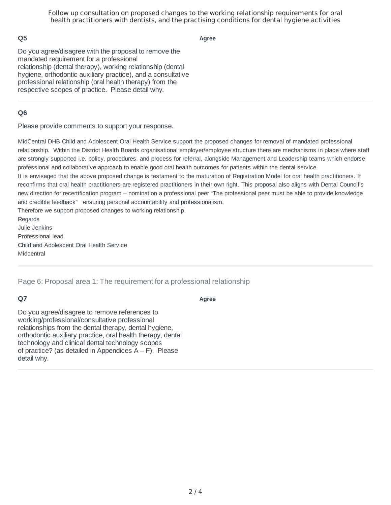### **Q5**

**Agree**

Do you agree/disagree with the proposal to remove the mandated requirement for a professional relationship (dental therapy), working relationship (dental hygiene, orthodontic auxiliary practice), and a consultative professional relationship (oral health therapy) from the respective scopes of practice. Please detail why.

### **Q6**

Please provide comments to support your response.

MidCentral DHB Child and Adolescent Oral Health Service support the proposed changes for removal of mandated professional relationship. Within the District Health Boards organisational employer/employee structure there are mechanisms in place where staff are strongly supported i.e. policy, procedures, and process for referral, alongside Management and Leadership teams which endorse professional and collaborative approach to enable good oral health outcomes for patients within the dental service. It is envisaged that the above proposed change is testament to the maturation of Registration Model for oral health practitioners. It reconfirms that oral health practitioners are registered practitioners in their own right. This proposal also aligns with Dental Council's new direction for recertification program – nomination a professional peer "The professional peer must be able to provide knowledge and credible feedback" ensuring personal accountability and professionalism. Therefore we support proposed changes to working relationship Regards Julie Jenkins

Professional lead Child and Adolescent Oral Health Service Midcentral

Page 6: Proposal area 1: The requirement for a professional relationship

### **Q7**

#### **Agree**

Do you agree/disagree to remove references to working/professional/consultative professional relationships from the dental therapy, dental hygiene, orthodontic auxiliary practice, oral health therapy, dental technology and clinical dental technology scopes of practice? (as detailed in Appendices  $A - F$ ). Please detail why.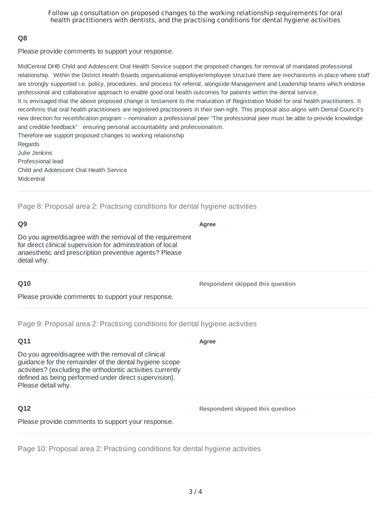### **Q8**

Please provide comments to support your response.

MidCentral DHB Child and Adolescent Oral Health Service support the proposed changes for removal of mandated professional relationship. Within the District Health Boards organisational employer/employee structure there are mechanisms in place where staff are strongly supported i.e. policy, procedures, and process for referral, alongside Management and Leadership teams which endorse professional and collaborative approach to enable good oral health outcomes for patients within the dental service. It is envisaged that the above proposed change is testament to the maturation of Registration Model for oral health practitioners. It

reconfirms that oral health practitioners are registered practitioners in their own right. This proposal also aligns with Dental Council's new direction for recertification program – nomination a professional peer "The professional peer must be able to provide knowledge and credible feedback" ensuring personal accountability and professionalism.

Therefore we support proposed changes to working relationship Regards Julie Jenkins Professional lead Child and Adolescent Oral Health Service Midcentral

Page 8: Proposal area 2: Practising conditions for dental hygiene activities

### **Q9**

Do you agree/disagree with the removal of the requirement for direct clinical supervision for administration of local anaesthetic and prescription preventive agents? Please detail why.

### **Q10**

Please provide comments to support your response.

Page 9: Proposal area 2: Practising conditions for dental hygiene activities

## **Q11**

Do you agree/disagree with the removal of clinical guidance for the remainder of the dental hygiene scope activities? (excluding the orthodontic activities currently defined as being performed under direct supervision). Please detail why.

# **Q12**

Please provide comments to support your response.

Page 10: Proposal area 2: Practising conditions for dental hygiene activities

### **Agree**

**Respondent skipped this question**

**Respondent skipped this question**

**Agree**

3 / 4